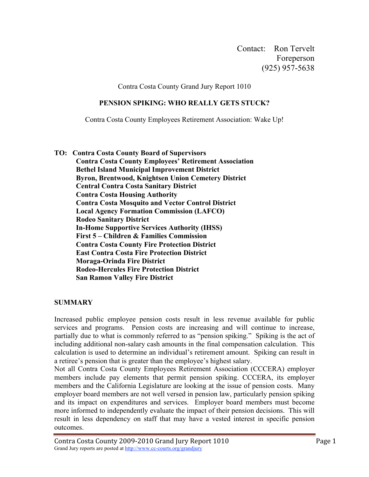Contact: Ron Tervelt Foreperson (925) 957-5638

Contra Costa County Grand Jury Report 1010

#### **PENSION SPIKING: WHO REALLY GETS STUCK?**

Contra Costa County Employees Retirement Association: Wake Up!

**TO: Contra Costa County Board of Supervisors Contra Costa County Employees' Retirement Association Bethel Island Municipal Improvement District Byron, Brentwood, Knightsen Union Cemetery District Central Contra Costa Sanitary District Contra Costa Housing Authority Contra Costa Mosquito and Vector Control District Local Agency Formation Commission (LAFCO) Rodeo Sanitary District In-Home Supportive Services Authority (IHSS) First 5 – Children & Families Commission Contra Costa County Fire Protection District East Contra Costa Fire Protection District Moraga-Orinda Fire District Rodeo-Hercules Fire Protection District San Ramon Valley Fire District**

#### **SUMMARY**

Increased public employee pension costs result in less revenue available for public services and programs. Pension costs are increasing and will continue to increase, partially due to what is commonly referred to as "pension spiking." Spiking is the act of including additional non-salary cash amounts in the final compensation calculation. This calculation is used to determine an individual's retirement amount. Spiking can result in a retiree's pension that is greater than the employee's highest salary.

Not all Contra Costa County Employees Retirement Association (CCCERA) employer members include pay elements that permit pension spiking. CCCERA, its employer members and the California Legislature are looking at the issue of pension costs. Many employer board members are not well versed in pension law, particularly pension spiking and its impact on expenditures and services. Employer board members must become more informed to independently evaluate the impact of their pension decisions. This will result in less dependency on staff that may have a vested interest in specific pension outcomes.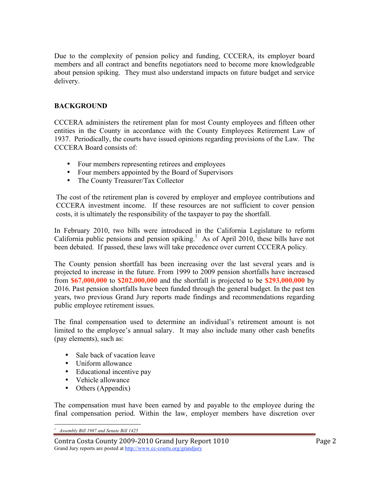Due to the complexity of pension policy and funding, CCCERA, its employer board members and all contract and benefits negotiators need to become more knowledgeable about pension spiking. They must also understand impacts on future budget and service delivery.

#### **BACKGROUND**

CCCERA administers the retirement plan for most County employees and fifteen other entities in the County in accordance with the County Employees Retirement Law of 1937. Periodically, the courts have issued opinions regarding provisions of the Law. The CCCERA Board consists of:

- Four members representing retirees and employees
- Four members appointed by the Board of Supervisors
- The County Treasurer/Tax Collector

The cost of the retirement plan is covered by employer and employee contributions and CCCERA investment income. If these resources are not sufficient to cover pension costs, it is ultimately the responsibility of the taxpayer to pay the shortfall.

In February 2010, two bills were introduced in the California Legislature to reform California public pensions and pension spiking. <sup>1</sup> As of April 2010, these bills have not been debated. If passed, these laws will take precedence over current CCCERA policy.

The County pension shortfall has been increasing over the last several years and is projected to increase in the future. From 1999 to 2009 pension shortfalls have increased from **\$67,000,000** to **\$202,000,000** and the shortfall is projected to be **\$293,000,000** by 2016. Past pension shortfalls have been funded through the general budget. In the past ten years, two previous Grand Jury reports made findings and recommendations regarding public employee retirement issues.

The final compensation used to determine an individual's retirement amount is not limited to the employee's annual salary. It may also include many other cash benefits (pay elements), such as:

- Sale back of vacation leave
- Uniform allowance
- Educational incentive pay
- Vehicle allowance
- Others (Appendix)

The compensation must have been earned by and payable to the employee during the final compensation period. Within the law, employer members have discretion over

 $\overline{a}$ *1 Assembly Bill 1987 and Senate Bill 1425*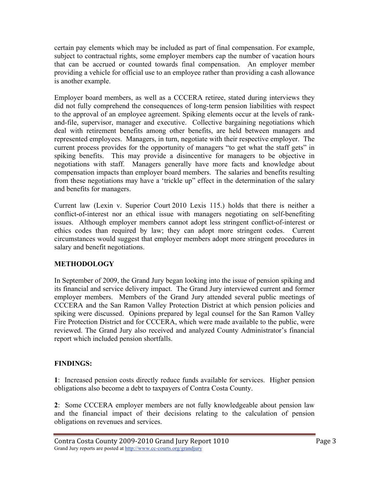certain pay elements which may be included as part of final compensation. For example, subject to contractual rights, some employer members cap the number of vacation hours that can be accrued or counted towards final compensation. An employer member providing a vehicle for official use to an employee rather than providing a cash allowance is another example.

Employer board members, as well as a CCCERA retiree, stated during interviews they did not fully comprehend the consequences of long-term pension liabilities with respect to the approval of an employee agreement. Spiking elements occur at the levels of rankand-file, supervisor, manager and executive. Collective bargaining negotiations which deal with retirement benefits among other benefits, are held between managers and represented employees. Managers, in turn, negotiate with their respective employer. The current process provides for the opportunity of managers "to get what the staff gets" in spiking benefits. This may provide a disincentive for managers to be objective in negotiations with staff. Managers generally have more facts and knowledge about compensation impacts than employer board members. The salaries and benefits resulting from these negotiations may have a 'trickle up" effect in the determination of the salary and benefits for managers.

Current law (Lexin v. Superior Court 2010 Lexis 115.) holds that there is neither a conflict-of-interest nor an ethical issue with managers negotiating on self-benefiting issues. Although employer members cannot adopt less stringent conflict-of-interest or ethics codes than required by law; they can adopt more stringent codes. Current circumstances would suggest that employer members adopt more stringent procedures in salary and benefit negotiations.

#### **METHODOLOGY**

In September of 2009, the Grand Jury began looking into the issue of pension spiking and its financial and service delivery impact. The Grand Jury interviewed current and former employer members. Members of the Grand Jury attended several public meetings of CCCERA and the San Ramon Valley Protection District at which pension policies and spiking were discussed. Opinions prepared by legal counsel for the San Ramon Valley Fire Protection District and for CCCERA, which were made available to the public, were reviewed. The Grand Jury also received and analyzed County Administrator's financial report which included pension shortfalls.

#### **FINDINGS:**

**1**: Increased pension costs directly reduce funds available for services. Higher pension obligations also become a debt to taxpayers of Contra Costa County.

**2**: Some CCCERA employer members are not fully knowledgeable about pension law and the financial impact of their decisions relating to the calculation of pension obligations on revenues and services.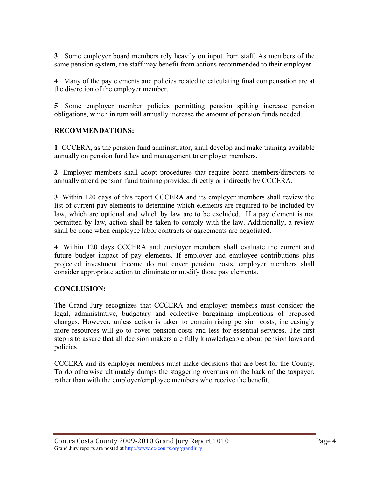**3**: Some employer board members rely heavily on input from staff. As members of the same pension system, the staff may benefit from actions recommended to their employer.

**4**: Many of the pay elements and policies related to calculating final compensation are at the discretion of the employer member.

**5**: Some employer member policies permitting pension spiking increase pension obligations, which in turn will annually increase the amount of pension funds needed.

#### **RECOMMENDATIONS:**

**1**: CCCERA, as the pension fund administrator, shall develop and make training available annually on pension fund law and management to employer members.

**2**: Employer members shall adopt procedures that require board members/directors to annually attend pension fund training provided directly or indirectly by CCCERA.

**3**: Within 120 days of this report CCCERA and its employer members shall review the list of current pay elements to determine which elements are required to be included by law, which are optional and which by law are to be excluded. If a pay element is not permitted by law, action shall be taken to comply with the law. Additionally, a review shall be done when employee labor contracts or agreements are negotiated.

**4**: Within 120 days CCCERA and employer members shall evaluate the current and future budget impact of pay elements. If employer and employee contributions plus projected investment income do not cover pension costs, employer members shall consider appropriate action to eliminate or modify those pay elements.

#### **CONCLUSION:**

The Grand Jury recognizes that CCCERA and employer members must consider the legal, administrative, budgetary and collective bargaining implications of proposed changes. However, unless action is taken to contain rising pension costs, increasingly more resources will go to cover pension costs and less for essential services. The first step is to assure that all decision makers are fully knowledgeable about pension laws and policies.

CCCERA and its employer members must make decisions that are best for the County. To do otherwise ultimately dumps the staggering overruns on the back of the taxpayer, rather than with the employer/employee members who receive the benefit.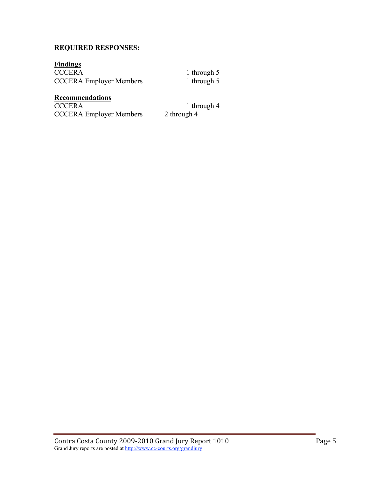#### **REQUIRED RESPONSES:**

# **Findings**

CCCERA Employer Members

1 through 5<br>1 through 5

### **Recommendations**

CCCERA 1 through 4<br>CCCERA Employer Members 2 through 4 CCCERA Employer Members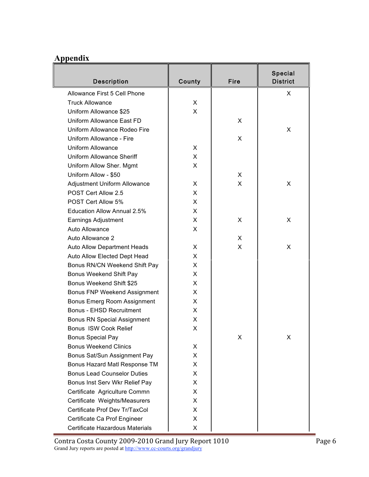## **Appendix**

| <b>Description</b>                  | County | Fire | Special<br><b>District</b> |
|-------------------------------------|--------|------|----------------------------|
| Allowance First 5 Cell Phone        |        |      | X.                         |
| <b>Truck Allowance</b>              | X      |      |                            |
| Uniform Allowance \$25              | X      |      |                            |
| Uniform Allowance East FD           |        | X    |                            |
| Uniform Allowance Rodeo Fire        |        |      | X                          |
| Uniform Allowance - Fire            |        | X    |                            |
| Uniform Allowance                   | X      |      |                            |
| Uniform Allowance Sheriff           | X      |      |                            |
| Uniform Allow Sher. Mgmt            | X      |      |                            |
| Uniform Allow - \$50                |        | X    |                            |
| <b>Adjustment Uniform Allowance</b> | X      | X    | X                          |
| POST Cert Allow 2.5                 | X      |      |                            |
| POST Cert Allow 5%                  | X      |      |                            |
| <b>Education Allow Annual 2.5%</b>  | X      |      |                            |
| Earnings Adjustment                 | X      | X    | X                          |
| Auto Allowance                      | X      |      |                            |
| Auto Allowance 2                    |        | X    |                            |
| <b>Auto Allow Department Heads</b>  | X      | X    | X                          |
| Auto Allow Elected Dept Head        | X      |      |                            |
| Bonus RN/CN Weekend Shift Pay       | X      |      |                            |
| Bonus Weekend Shift Pay             | X      |      |                            |
| Bonus Weekend Shift \$25            | X      |      |                            |
| <b>Bonus FNP Weekend Assignment</b> | X      |      |                            |
| Bonus Emerg Room Assignment         | X      |      |                            |
| <b>Bonus - EHSD Recruitment</b>     | X      |      |                            |
| <b>Bonus RN Special Assignment</b>  | X      |      |                            |
| Bonus ISW Cook Relief               | X      |      |                            |
| <b>Bonus Special Pay</b>            |        | X    | X                          |
| <b>Bonus Weekend Clinics</b>        | X      |      |                            |
| Bonus Sat/Sun Assignment Pay        | X      |      |                            |
| Bonus Hazard Matl Response TM       | X      |      |                            |
| <b>Bonus Lead Counselor Duties</b>  | X      |      |                            |
| Bonus Inst Serv Wkr Relief Pay      | X      |      |                            |
| Certificate Agriculture Commn       | X      |      |                            |
| Certificate Weights/Measurers       | X      |      |                            |
| Certificate Prof Dev Tr/TaxCol      | X      |      |                            |
| Certificate Ca Prof Engineer        | X      |      |                            |
| Certificate Hazardous Materials     | X      |      |                            |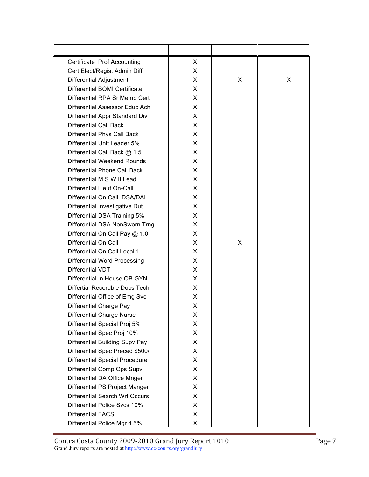| Certificate Prof Accounting           | X |   |   |
|---------------------------------------|---|---|---|
| Cert Elect/Regist Admin Diff          | X |   |   |
| <b>Differential Adjustment</b>        | X | X | X |
| Differential BOMI Certificate         | X |   |   |
| Differential RPA Sr Memb Cert         | X |   |   |
| Differential Assessor Educ Ach        | X |   |   |
| Differential Appr Standard Div        | X |   |   |
| <b>Differential Call Back</b>         | X |   |   |
| Differential Phys Call Back           | X |   |   |
| Differential Unit Leader 5%           | X |   |   |
| Differential Call Back @ 1.5          | X |   |   |
| Differential Weekend Rounds           | X |   |   |
| Differential Phone Call Back          | X |   |   |
| Differential M S W II Lead            | X |   |   |
| Differential Lieut On-Call            | X |   |   |
| Differential On Call DSA/DAI          | X |   |   |
| Differential Investigative Dut        | X |   |   |
| Differential DSA Training 5%          | X |   |   |
| Differential DSA NonSworn Trng        | X |   |   |
| Differential On Call Pay @ 1.0        | X |   |   |
| Differential On Call                  | X | X |   |
| Differential On Call Local 1          | X |   |   |
| <b>Differential Word Processing</b>   | X |   |   |
| Differential VDT                      | X |   |   |
| Differential In House OB GYN          | X |   |   |
| Differtial Recordble Docs Tech        | X |   |   |
| Differential Office of Emg Svc        | X |   |   |
| <b>Differential Charge Pay</b>        | X |   |   |
| <b>Differential Charge Nurse</b>      | х |   |   |
| Differential Special Proj 5%          | X |   |   |
| Differential Spec Proj 10%            | X |   |   |
| Differential Building Supv Pay        | X |   |   |
| Differential Spec Preced \$500/       | X |   |   |
| <b>Differential Special Procedure</b> | X |   |   |
| Differential Comp Ops Supv            | X |   |   |
| Differential DA Office Mnger          | X |   |   |
| Differential PS Project Manger        | X |   |   |
| Differential Search Wrt Occurs        | X |   |   |
| Differential Police Svcs 10%          | X |   |   |
| <b>Differential FACS</b>              | X |   |   |
| Differential Police Mgr 4.5%          | X |   |   |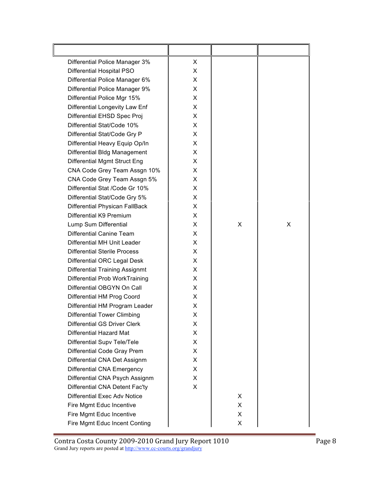| Differential Police Manager 3%        | X  |   |   |
|---------------------------------------|----|---|---|
| <b>Differential Hospital PSO</b>      | X  |   |   |
| Differential Police Manager 6%        | X. |   |   |
| Differential Police Manager 9%        | X  |   |   |
| Differential Police Mgr 15%           | X  |   |   |
| Differential Longevity Law Enf        | X  |   |   |
| Differential EHSD Spec Proj           | X  |   |   |
| Differential Stat/Code 10%            | X  |   |   |
| Differential Stat/Code Gry P          | X  |   |   |
| Differential Heavy Equip Op/In        | X  |   |   |
| Differential Bldg Management          | X  |   |   |
| Differential Mgmt Struct Eng          | X  |   |   |
| CNA Code Grey Team Assgn 10%          | X  |   |   |
| CNA Code Grey Team Assgn 5%           | X  |   |   |
| Differential Stat /Code Gr 10%        | X  |   |   |
| Differential Stat/Code Gry 5%         | X  |   |   |
| Differential Physican FallBack        | X  |   |   |
| Differential K9 Premium               | X  |   |   |
| Lump Sum Differential                 | X  | X | X |
| Differential Canine Team              | X  |   |   |
| Differential MH Unit Leader           | X  |   |   |
| <b>Differential Sterile Process</b>   | X  |   |   |
| Differential ORC Legal Desk           | X  |   |   |
| <b>Differential Training Assignmt</b> | X  |   |   |
| Differential Prob WorkTraining        | X  |   |   |
| Differential OBGYN On Call            | X  |   |   |
| Differential HM Prog Coord            | X  |   |   |
| Differential HM Program Leader        | X  |   |   |
| <b>Differential Tower Climbing</b>    | Χ  |   |   |
| <b>Differential GS Driver Clerk</b>   | X. |   |   |
| <b>Differential Hazard Mat</b>        | X. |   |   |
| Differential Supv Tele/Tele           | X. |   |   |
| Differential Code Gray Prem           | X. |   |   |
| Differential CNA Det Assignm          | X. |   |   |
| <b>Differential CNA Emergency</b>     | X. |   |   |
| Differential CNA Psych Assignm        | X. |   |   |
| Differential CNA Detent Fac'ty        | X. |   |   |
| <b>Differential Exec Adv Notice</b>   |    | X |   |
| Fire Mgmt Educ Incentive              |    | X |   |
| Fire Mgmt Educ Incentive              |    | X |   |
| Fire Mgmt Educ Incent Conting         |    | X |   |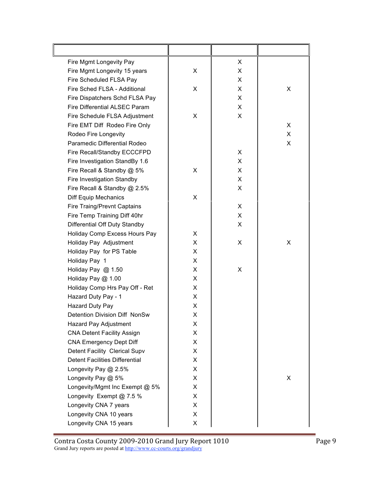| Fire Mgmt Longevity Pay               |   | X |   |
|---------------------------------------|---|---|---|
| Fire Mgmt Longevity 15 years          | X | X |   |
| Fire Scheduled FLSA Pay               |   | X |   |
| Fire Sched FLSA - Additional          | X | X | X |
| Fire Dispatchers Schd FLSA Pay        |   | X |   |
| Fire Differential ALSEC Param         |   | X |   |
| Fire Schedule FLSA Adjustment         | X | X |   |
| Fire EMT Diff Rodeo Fire Only         |   |   | X |
| Rodeo Fire Longevity                  |   |   | X |
| Paramedic Differential Rodeo          |   |   | X |
| Fire Recall/Standby ECCCFPD           |   | X |   |
| Fire Investigation StandBy 1.6        |   | X |   |
| Fire Recall & Standby @ 5%            | X | X |   |
| Fire Investigation Standby            |   | X |   |
| Fire Recall & Standby @ 2.5%          |   | X |   |
| Diff Equip Mechanics                  | X |   |   |
| Fire Traing/Prevnt Captains           |   | X |   |
| Fire Temp Training Diff 40hr          |   | X |   |
| Differential Off Duty Standby         |   | X |   |
| Holiday Comp Excess Hours Pay         | X |   |   |
| Holiday Pay Adjustment                | X | X | X |
| Holiday Pay for PS Table              | X |   |   |
| Holiday Pay 1                         | X |   |   |
| Holiday Pay @ 1.50                    | X | X |   |
| Holiday Pay @ 1.00                    | X |   |   |
| Holiday Comp Hrs Pay Off - Ret        | X |   |   |
| Hazard Duty Pay - 1                   | X |   |   |
| Hazard Duty Pay                       | X |   |   |
| Detention Division Diff NonSw         | X |   |   |
| Hazard Pay Adjustment                 | X |   |   |
| <b>CNA Detent Facility Assign</b>     | X |   |   |
| <b>CNA Emergency Dept Diff</b>        | X |   |   |
| Detent Facility Clerical Supv         | X |   |   |
| <b>Detent Facilities Differential</b> | X |   |   |
| Longevity Pay @ 2.5%                  | X |   |   |
| Longevity Pay @ 5%                    | X |   | X |
| Longevity/Mgmt Inc Exempt @ 5%        | X |   |   |
| Longevity Exempt @ 7.5 %              | X |   |   |
| Longevity CNA 7 years                 | X |   |   |
| Longevity CNA 10 years                | X |   |   |
| Longevity CNA 15 years                | X |   |   |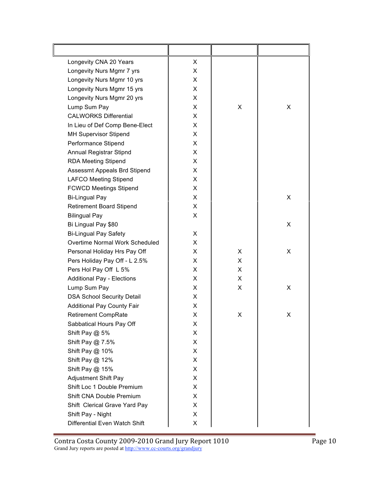| Longevity CNA 20 Years            | X |    |   |
|-----------------------------------|---|----|---|
| Longevity Nurs Mgmr 7 yrs         | X |    |   |
| Longevity Nurs Mgmr 10 yrs        | X |    |   |
| Longevity Nurs Mgmr 15 yrs        | X |    |   |
| Longevity Nurs Mgmr 20 yrs        | X |    |   |
| Lump Sum Pay                      | X | X  | X |
| <b>CALWORKS Differential</b>      | X |    |   |
| In Lieu of Def Comp Bene-Elect    | X |    |   |
| <b>MH Supervisor Stipend</b>      | X |    |   |
| Performance Stipend               | X |    |   |
| Annual Registrar Stipnd           | X |    |   |
| <b>RDA Meeting Stipend</b>        | X |    |   |
| Assessmt Appeals Brd Stipend      | X |    |   |
| <b>LAFCO Meeting Stipend</b>      | X |    |   |
| <b>FCWCD Meetings Stipend</b>     | X |    |   |
| <b>Bi-Lingual Pay</b>             | X |    | X |
| <b>Retirement Board Stipend</b>   | X |    |   |
| <b>Bilingual Pay</b>              | X |    |   |
| Bi Lingual Pay \$80               |   |    | X |
| <b>Bi-Lingual Pay Safety</b>      | X |    |   |
| Overtime Normal Work Scheduled    | X |    |   |
| Personal Holiday Hrs Pay Off      | X | X  | X |
| Pers Holiday Pay Off - L 2.5%     | X | X  |   |
| Pers Hol Pay Off L 5%             | X | X  |   |
| <b>Additional Pay - Elections</b> | X | X  |   |
| Lump Sum Pay                      | X | X  | X |
| <b>DSA School Security Detail</b> | X |    |   |
| <b>Additional Pay County Fair</b> | X |    |   |
| <b>Retirement CompRate</b>        | X | X. | X |
| Sabbatical Hours Pay Off          | X |    |   |
| Shift Pay @ 5%                    | X |    |   |
| Shift Pay @ 7.5%                  | X |    |   |
| Shift Pay @ 10%                   | X |    |   |
| Shift Pay @ 12%                   | X |    |   |
| Shift Pay @ 15%                   | X |    |   |
| Adjustment Shift Pay              | X |    |   |
| Shift Loc 1 Double Premium        | X |    |   |
| Shift CNA Double Premium          | X |    |   |
| Shift Clerical Grave Yard Pay     | X |    |   |
| Shift Pay - Night                 | X |    |   |
| Differential Even Watch Shift     | X |    |   |